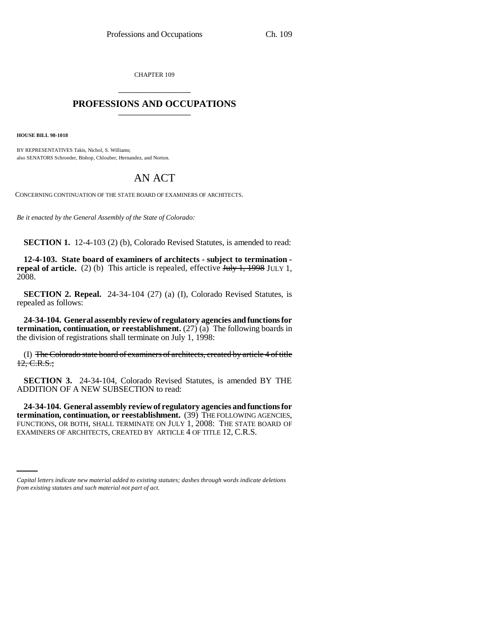CHAPTER 109 \_\_\_\_\_\_\_\_\_\_\_\_\_\_\_

## **PROFESSIONS AND OCCUPATIONS** \_\_\_\_\_\_\_\_\_\_\_\_\_\_\_

**HOUSE BILL 98-1018**

BY REPRESENTATIVES Takis, Nichol, S. Williams; also SENATORS Schroeder, Bishop, Chlouber, Hernandez, and Norton.

## AN ACT

CONCERNING CONTINUATION OF THE STATE BOARD OF EXAMINERS OF ARCHITECTS.

*Be it enacted by the General Assembly of the State of Colorado:*

**SECTION 1.** 12-4-103 (2) (b), Colorado Revised Statutes, is amended to read:

**12-4-103. State board of examiners of architects - subject to termination repeal of article.** (2) (b) This article is repealed, effective July 1, 1998 JULY 1, 2008.

**SECTION 2. Repeal.** 24-34-104 (27) (a) (I), Colorado Revised Statutes, is repealed as follows:

**24-34-104. General assembly review of regulatory agencies and functions for termination, continuation, or reestablishment.** (27) (a) The following boards in the division of registrations shall terminate on July 1, 1998:

(I) The Colorado state board of examiners of architects, created by article 4 of title 12, C.R.S.;

**SECTION 3.** 24-34-104, Colorado Revised Statutes, is amended BY THE ADDITION OF A NEW SUBSECTION to read:

EXAMINERS OF ARCHITECTS, CREATED BY ARTICLE 4 OF TITLE 12, C.R.S. **24-34-104. General assembly review of regulatory agencies and functions for** FUNCTIONS, OR BOTH, SHALL TERMINATE ON JULY 1, 2008: THE STATE BOARD OF

*Capital letters indicate new material added to existing statutes; dashes through words indicate deletions from existing statutes and such material not part of act.*